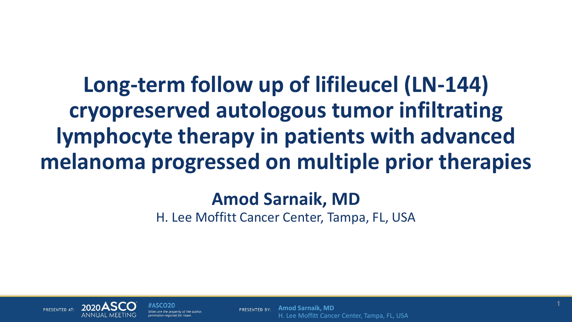**Long-term follow up of lifileucel (LN-144) cryopreserved autologous tumor infiltrating lymphocyte therapy in patients with advanced melanoma progressed on multiple prior therapies**

### **Amod Sarnaik, MD**

H. Lee Moffitt Cancer Center, Tampa, FL, USA



#ASCO20 des are the property of the author permission required for reuse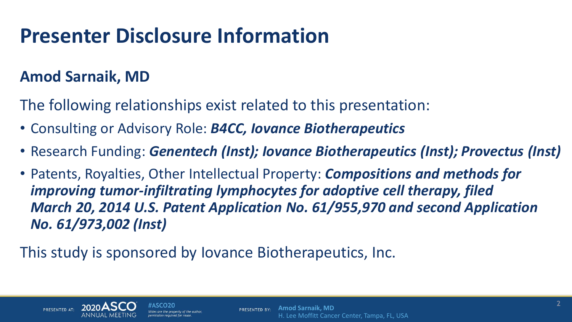# **Presenter Disclosure Information**

### **Amod Sarnaik, MD**

The following relationships exist related to this presentation:

- Consulting or Advisory Role: *B4CC, Iovance Biotherapeutics*
- Research Funding: *Genentech (Inst); Iovance Biotherapeutics (Inst); Provectus (Inst)*
- Patents, Royalties, Other Intellectual Property: *Compositions and methods for improving tumor-infiltrating lymphocytes for adoptive cell therapy, filed March 20, 2014 U.S. Patent Application No. 61/955,970 and second Application No. 61/973,002 (Inst)*

This study is sponsored by Iovance Biotherapeutics, Inc.



des are the property of the autho permission required for reu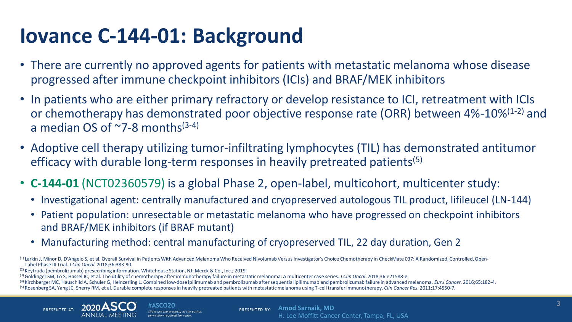# **Iovance C-144-01: Background**

- There are currently no approved agents for patients with metastatic melanoma whose disease progressed after immune checkpoint inhibitors (ICIs) and BRAF/MEK inhibitors
- In patients who are either primary refractory or develop resistance to ICI, retreatment with ICIs or chemotherapy has demonstrated poor objective response rate (ORR) between  $4\%$ -10% $(1-2)$  and a median OS of  $\sim$ 7-8 months<sup>(3-4)</sup>
- Adoptive cell therapy utilizing tumor-infiltrating lymphocytes (TIL) has demonstrated antitumor efficacy with durable long-term responses in heavily pretreated patients<sup>(5)</sup>
- **C-144-01** (NCT02360579) is a global Phase 2, open-label, multicohort, multicenter study:
	- Investigational agent: centrally manufactured and cryopreserved autologous TIL product, lifileucel (LN-144)
	- Patient population: unresectable or metastatic melanoma who have progressed on checkpoint inhibitors and BRAF/MEK inhibitors (if BRAF mutant)
	- Manufacturing method: central manufacturing of cryopreserved TIL, 22 day duration, Gen 2

(1) Larkin J, Minor D, D'Angelo S, et al. Overall Survival in Patients With Advanced Melanoma Who Received Nivolumab Versus Investigator's Choice Chemotherapy in CheckMate 037: A Randomized, Controlled, Open-Label Phase III Trial. *J Clin Oncol.* 2018;36:383-90.

(2) Keytruda (pembrolizumab) presecribing information. Whitehouse Station, NJ: Merck & Co., Inc.; 2019.

(3) Goldinger SM, Lo S, Hassel JC, et al. The utility of chemotherapy after immunotherapy failure in metastatic melanoma: A multicenter case series. *J Clin Oncol*. 2018;36:e21588-e.

(4) Kirchberger MC, HauschildA, Schuler G, Heinzerling L. Combined low-dose ipilimumab and pembrolizumab after sequential ipilimumab and pembrolizumab failure in advanced melanoma. *Eur J Cancer.* 2016;65:182-4. (5) Rosenberg SA, Yang JC, Sherry RM, et al. Durable complete responses in heavily pretreated patients with metastatic melanoma using T-cell transfer immunotherapy. *Clin Cancer Res.* 2011;17:4550-7.

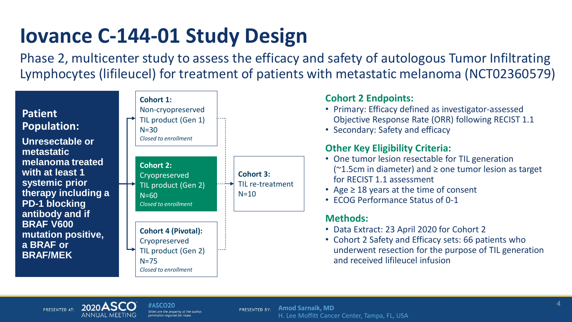# **Iovance C-144-01 Study Design**

Phase 2, multicenter study to assess the efficacy and safety of autologous Tumor Infiltrating Lymphocytes (lifileucel) for treatment of patients with metastatic melanoma (NCT02360579)



### **Cohort 2 Endpoints:**

- Primary: Efficacy defined as investigator-assessed Objective Response Rate (ORR) following RECIST 1.1
- Secondary: Safety and efficacy

### **Other Key Eligibility Criteria:**

- One tumor lesion resectable for TIL generation  $(^{\sim}1.5cm$  in diameter) and  $\geq$  one tumor lesion as target for RECIST 1.1 assessment
- Age  $\geq$  18 years at the time of consent
- ECOG Performance Status of 0-1

### **Methods:**

- Data Extract: 23 April 2020 for Cohort 2
- Cohort 2 Safety and Efficacy sets: 66 patients who underwent resection for the purpose of TIL generation and received lifileucel infusion



#ASCO20 des are the property of the autho permission required for reus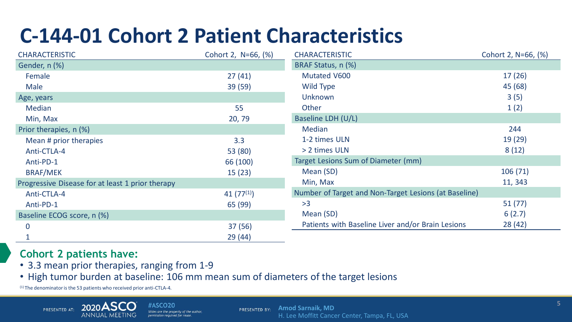# **C-144-01 Cohort 2 Patient Characteristics**

| <b>CHARACTERISTIC</b>                            | Cohort 2, N=66, (%) | <b>CHARACTERISTIC</b>                                 | Cohort 2, N=66, (%) |
|--------------------------------------------------|---------------------|-------------------------------------------------------|---------------------|
| Gender, n (%)                                    |                     | BRAF Status, n (%)                                    |                     |
| Female                                           | 27(41)              | Mutated V600                                          | 17(26)              |
| Male                                             | 39 (59)             | Wild Type                                             | 45 (68)             |
| Age, years                                       |                     | Unknown                                               | 3(5)                |
| <b>Median</b>                                    | 55                  | Other                                                 | 1(2)                |
| Min, Max                                         | 20, 79              | Baseline LDH (U/L)                                    |                     |
| Prior therapies, n (%)                           |                     | Median                                                | 244                 |
| Mean # prior therapies                           | 3.3                 | 1-2 times ULN                                         | 19(29)              |
| Anti-CTLA-4                                      | 53 (80)             | > 2 times ULN                                         | 8(12)               |
| Anti-PD-1                                        | 66 (100)            | Target Lesions Sum of Diameter (mm)                   |                     |
| <b>BRAF/MEK</b>                                  | 15(23)              | Mean (SD)                                             | 106(71)             |
| Progressive Disease for at least 1 prior therapy |                     | Min, Max                                              | 11, 343             |
| Anti-CTLA-4                                      | 41 $(77^{(1)})$     | Number of Target and Non-Target Lesions (at Baseline) |                     |
| Anti-PD-1                                        | 65 (99)             | >3                                                    | 51(77)              |
| Baseline ECOG score, n (%)                       |                     | Mean (SD)                                             | 6(2.7)              |
| 0                                                | 37(56)              | Patients with Baseline Liver and/or Brain Lesions     | 28(42)              |
|                                                  | 29(44)              |                                                       |                     |

### **Cohort 2 patients have:**

- 3.3 mean prior therapies, ranging from 1-9
- High tumor burden at baseline: 106 mm mean sum of diameters of the target lesions

(1) The denominator is the 53 patients who received prior anti-CTLA-4.



#ASCO20 ilides are the property of the author. permission required for reuse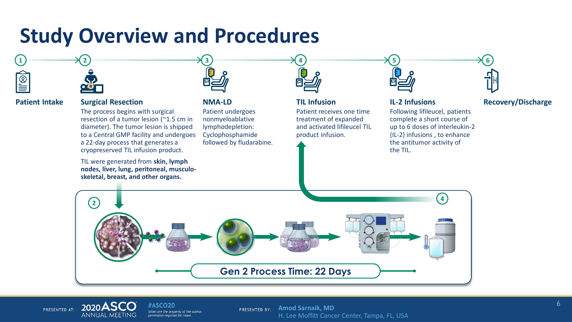### **Study Overview and Procedures**



### **Patient Intake Surgical Resection NMA-LD TIL Infusion**

The process begins with surgical resection of a tumor lesion (~1.5 cm in diameter). The tumor lesion is shipped to a Central GMP facility and undergoes a 22-day process that generates a cryopreserved TIL infusion product.

TIL were generated from **skin, lymph nodes, liver, lung, peritoneal, musculoskeletal, breast, and other organs.**



Patient undergoes nonmyeloablative lymphodepletion: Cyclophosphamide followed by fludarabine.



Patient receives one time treatment of expanded and activated lifileucel TIL product infusion.



Following lifileucel, patients complete a short course of up to 6 doses of interleukin-2 (IL-2) infusions , to enhance the antitumor activity of the TIL.

### **IL-2 Infusions Recovery/Discharge**





#ASCO20 Slides are the property of the author. permission required for reuse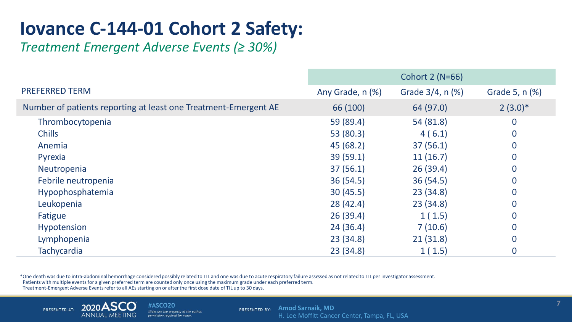### **Iovance C-144-01 Cohort 2 Safety:**

*Treatment Emergent Adverse Events (≥ 30%)*

|                                                                 | Cohort 2 (N=66)  |                        |                |
|-----------------------------------------------------------------|------------------|------------------------|----------------|
| <b>PREFERRED TERM</b>                                           | Any Grade, n (%) | Grade $3/4$ , n $(\%)$ | Grade 5, n (%) |
| Number of patients reporting at least one Treatment-Emergent AE | 66 (100)         | 64 (97.0)              | $2(3.0)*$      |
| Thrombocytopenia                                                | 59 (89.4)        | 54 (81.8)              | $\bf{0}$       |
| <b>Chills</b>                                                   | 53 (80.3)        | 4(6.1)                 | $\bf{0}$       |
| Anemia                                                          | 45 (68.2)        | 37(56.1)               | $\overline{0}$ |
| Pyrexia                                                         | 39(59.1)         | 11(16.7)               | $\bf{0}$       |
| Neutropenia                                                     | 37(56.1)         | 26(39.4)               | $\bf{0}$       |
| Febrile neutropenia                                             | 36(54.5)         | 36(54.5)               | $\overline{0}$ |
| Hypophosphatemia                                                | 30(45.5)         | 23(34.8)               | $\bf{0}$       |
| Leukopenia                                                      | 28(42.4)         | 23(34.8)               | $\bf{0}$       |
| Fatigue                                                         | 26(39.4)         | 1(1.5)                 | $\overline{0}$ |
| Hypotension                                                     | 24(36.4)         | 7(10.6)                | $\bf{0}$       |
| Lymphopenia                                                     | 23(34.8)         | 21(31.8)               | $\overline{0}$ |
| <b>Tachycardia</b>                                              | 23(34.8)         | 1(1.5)                 | 0              |

\*One death was due to intra-abdominal hemorrhage considered possibly related to TIL and one was due to acute respiratory failure assessed as not related to TIL per investigator assessment. Patients with multiple events for a given preferred term are counted only once using the maximum grade under each preferred term.

Treatment-Emergent Adverse Events refer to all AEs starting on or after the first dose date of TIL up to 30 days.



#ASCO20 Slides are the property of the author, permission required for reuse.

**PRESENTED BY:** Amod Sarnaik, MD H. Lee Moffitt Cancer Center, Tampa, FL, USA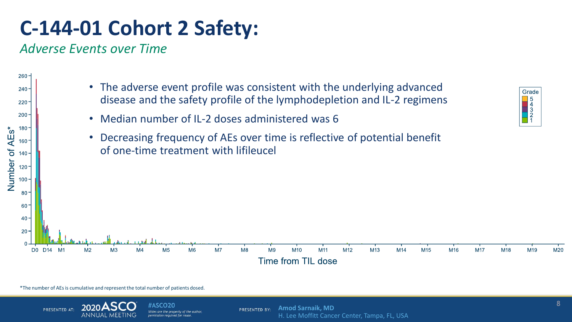# **C-144-01 Cohort 2 Safety:**

*Adverse Events over Time* 

 $260 -$ 

 $240 -$ 

 $220 -$ 

 $200 -$ 

180

160

 $120 -$ 

 $100 -$ 

AEs\*



- Median number of IL-2 doses administered was 6
- Decreasing frequency of AEs over time is reflective of potential benefit of one-time treatment with lifileucel



\*The number of AEs is cumulative and represent the total number of patients dosed.



#ASCO20 ilides are the property of the author permission required for reuse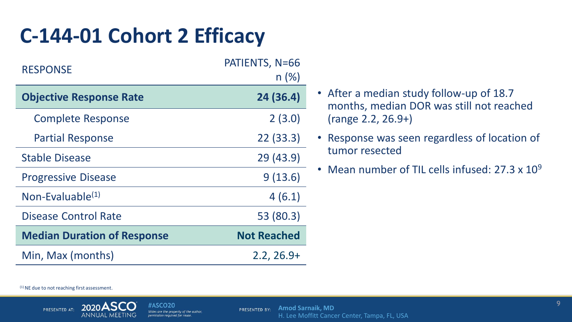# **C-144-01 Cohort 2 Efficacy**

| <b>RESPONSE</b>                    | PATIENTS, N=66<br>n(%) |
|------------------------------------|------------------------|
| <b>Objective Response Rate</b>     | 24 (36.4)              |
| <b>Complete Response</b>           | 2(3.0)                 |
| <b>Partial Response</b>            | 22(33.3)               |
| <b>Stable Disease</b>              | 29 (43.9)              |
| <b>Progressive Disease</b>         | 9(13.6)                |
| Non-Evaluable <sup>(1)</sup>       | 4(6.1)                 |
| Disease Control Rate               | 53 (80.3)              |
| <b>Median Duration of Response</b> | <b>Not Reached</b>     |
| Min, Max (months)                  | $2.2, 26.9+$           |

- After a median study follow-up of 18.7 months, median DOR was still not reached (range 2.2, 26.9+)
- Response was seen regardless of location of tumor resected
- Mean number of TIL cells infused: 27.3 x 10<sup>9</sup>

 $(1)$  NE due to not reaching first assessment.

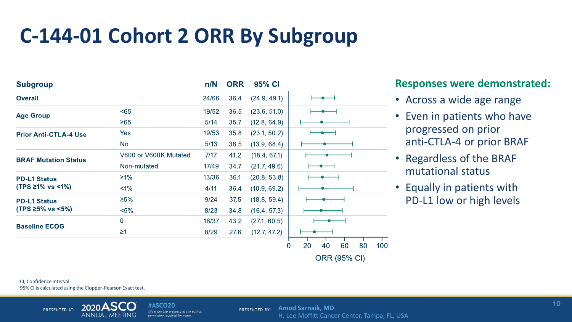## **C-144-01 Cohort 2 ORR By Subgroup**

| <b>Subgroup</b>                                            |                       | n/N   | <b>ORR</b> | 95% CI       |                                  |
|------------------------------------------------------------|-----------------------|-------|------------|--------------|----------------------------------|
| <b>Overall</b>                                             |                       | 24/66 | 36.4       | (24.9, 49.1) |                                  |
| <b>Age Group</b>                                           | $65$                  | 19/52 | 36.5       | (23.6, 51.0) |                                  |
|                                                            | $\geq 65$             | 5/14  | 35.7       | (12.8, 64.9) |                                  |
| <b>Prior Anti-CTLA-4 Use</b>                               | <b>Yes</b>            | 19/53 | 35.8       | (23.1, 50.2) |                                  |
|                                                            | <b>No</b>             | 5/13  | 38.5       | (13.9, 68.4) |                                  |
| <b>BRAF Mutation Status</b>                                | V600 or V600K Mutated | 7/17  | 41.2       | (18.4, 67.1) |                                  |
|                                                            | Non-mutated           | 17/49 | 34.7       | (21.7, 49.6) |                                  |
| <b>PD-L1 Status</b><br>$(TPS \ge 1\% \text{ vs } \le 1\%)$ | $\geq$ 1%             | 13/36 | 36.1       | (20.8, 53.8) |                                  |
|                                                            | $1\%$                 | 4/11  | 36.4       | (10.9, 69.2) |                                  |
| <b>PD-L1 Status</b><br>(TPS ≥5% vs <5%)                    | $\geq 5\%$            | 9/24  | 37.5       | (18.8, 59.4) |                                  |
|                                                            | $< 5\%$               | 8/23  | 34.8       | (16.4, 57.3) |                                  |
| <b>Baseline ECOG</b>                                       | $\overline{0}$        | 16/37 | 43.2       | (271, 60.5)  |                                  |
|                                                            | $\geq$ 1              | 8/29  | 27.6       | (12.7, 47.2) |                                  |
|                                                            |                       |       |            |              | 60<br>80<br>100<br>20<br>0<br>40 |

### **Responses were demonstrated:**

- Across a wide age range
- Even in patients who have progressed on prior anti-CTLA-4 or prior BRAF
- Regardless of the BRAF mutational status
- Equally in patients with PD-L1 low or high levels

CI, Confidence interval. 95% CI is calculated using the Clopper-Pearson Exact test.



#ASCO20 Slides are the property of the author, permission required for reuse

**Amod Sarnaik, MD** PRESENTED BY: H. Lee Moffitt Cancer Center, Tampa, FL, USA

**ORR (95% CI)**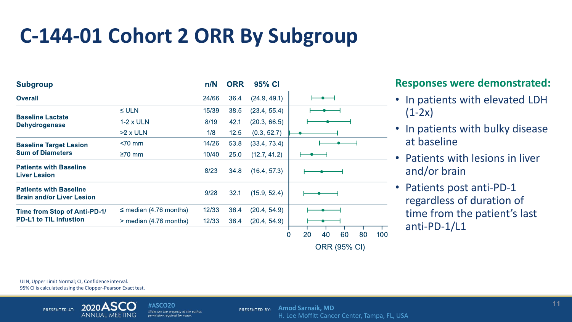# **C-144-01 Cohort 2 ORR By Subgroup**

| <b>Subgroup</b>                                                   |                             | n/N   | <b>ORR</b> | 95% CI         |                                               |
|-------------------------------------------------------------------|-----------------------------|-------|------------|----------------|-----------------------------------------------|
| <b>Overall</b>                                                    |                             | 24/66 | 36.4       | (24.9, 49.1)   |                                               |
|                                                                   | $\leq$ ULN                  | 15/39 | 38.5       | (23.4, 55.4)   |                                               |
| <b>Baseline Lactate</b><br><b>Dehydrogenase</b>                   | $1-2 \times ULN$            | 8/19  | 42.1       | (20.3, 66.5)   |                                               |
|                                                                   | $>2 \times ULN$             | 1/8   | 12.5       | (0.3, 52.7)    |                                               |
| <b>Baseline Target Lesion</b><br><b>Sum of Diameters</b>          | $< 70$ mm                   | 14/26 | 53.8       | (33.4, 73.4)   |                                               |
|                                                                   | $\geq 70$ mm                | 10/40 | 25.0       | (12.7, 41.2)   |                                               |
| <b>Patients with Baseline</b><br><b>Liver Lesion</b>              |                             | 8/23  | 34.8       | (16.4, 57.3)   |                                               |
| <b>Patients with Baseline</b><br><b>Brain and/or Liver Lesion</b> |                             | 9/28  | 32.1       | (15.9, 52.4)   |                                               |
| Time from Stop of Anti-PD-1/<br><b>PD-L1 to TIL Infustion</b>     | $\leq$ median (4.76 months) | 12/33 | 36.4       | (20.4, 54.9)   |                                               |
|                                                                   | $>$ median (4.76 months)    | 12/33 | 36.4       | (20, 4, 54, 9) |                                               |
|                                                                   |                             |       |            |                | 80<br>20<br>40<br>60<br>100<br>$\overline{0}$ |
|                                                                   |                             |       |            |                | <b>ORR (95% CI)</b>                           |

### **Responses were demonstrated:**

- In patients with elevated LDH  $(1-2x)$
- In patients with bulky disease at baseline
- Patients with lesions in liver and/or brain
- Patients post anti-PD-1 regardless of duration of time from the patient's last anti-PD-1/L1

ULN, Upper Limit Normal; CI, Confidence interval. 95% CI is calculated using the Clopper-Pearson Exact test.



#ASCO20 Slides are the property of the author, permission required for reuse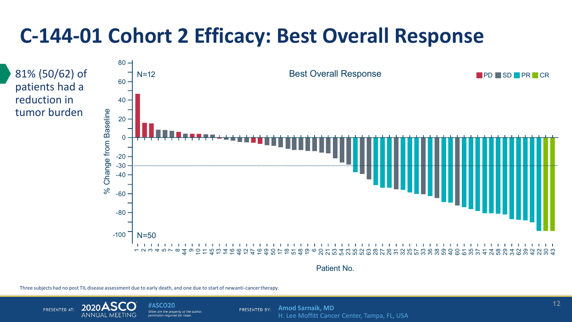# **C-144-01 Cohort 2 Efficacy: Best Overall Response**



Patient No.

Three subjects had no post TIL disease assessment due to early death, and one due to start of new anti-cancer therapy.



#ASCO20 Slides are the property of the author permission required for reuse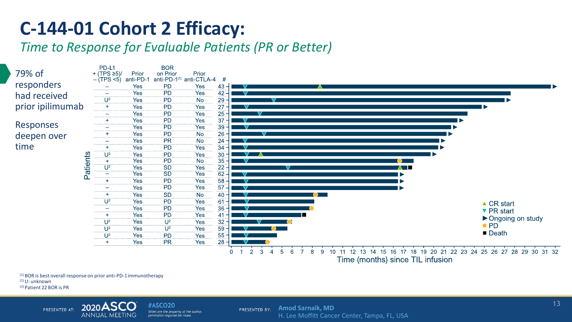### **C-144-01 Cohort 2 Efficacy:**

*Time to Response for Evaluable Patients (PR or Better)*



Time (months) since TIL infusion

(1) BOR is best overall response on prior anti-PD-1 immunotherapy (2) U: unknown (3) Patient 22 BOR is PR



#ASCO20 Slides are the property of the author, permission required for reuse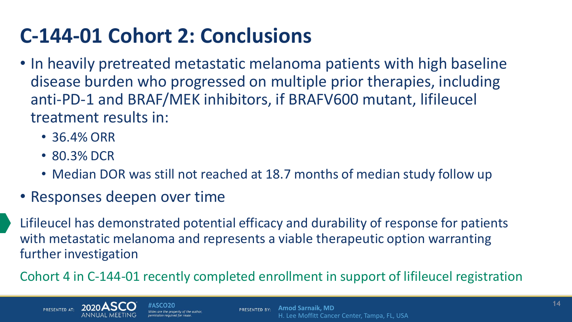# **C-144-01 Cohort 2: Conclusions**

- In heavily pretreated metastatic melanoma patients with high baseline disease burden who progressed on multiple prior therapies, including anti-PD-1 and BRAF/MEK inhibitors, if BRAFV600 mutant, lifileucel treatment results in:
	- 36.4% ORR
	- 80.3% DCR
	- Median DOR was still not reached at 18.7 months of median study follow up
- Responses deepen over time

Lifileucel has demonstrated potential efficacy and durability of response for patients with metastatic melanoma and represents a viable therapeutic option warranting further investigation

Cohort 4 in C-144-01 recently completed enrollment in support of lifileucel registration